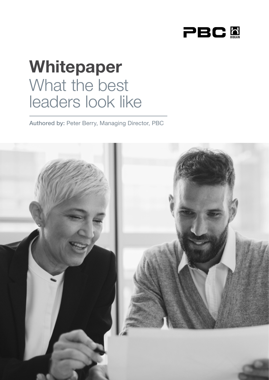

# Whitepaper What the best leaders look like

Authored by: Peter Berry, Managing Director, PBC

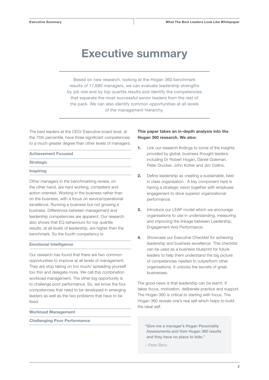### Executive summary

Based on new research, looking at the Hogan 360 benchmark results of 17,680 managers, we can evaluate leadership strengths by job role and by top quartile results and identify the competencies that separate the most successful senior leaders from the rest of the pack. We can also identify common opportunities at all levels of the management hierarchy.

The best leaders at the CEO/ Executive board level, at the 75th percentile, have three significant competencies to a much greater degree than other levels of managers:

#### Achievement Focused

#### **Strategic**

#### **Inspiring**

Other managers in the benchmarking review, on the other hand, are hard working, competent and action oriented. Working in the business rather than on the business, with a focus on service/operational excellence. Running a business but not growing a business. Differences between management and leadership competencies are apparent. Our research also shows that EQ behaviours for top quartile results, at all levels of leadership, are higher then the benchmark. So the fourth competency is:

#### Emotional Intelligence

Our research has found that there are two common opportunities to improve at all levels of management. They are stop taking on too much/ spreading yourself too thin and delegate more. We call this combination workload management. The other big opportunity is to challenge poor performance. So, we know the four competencies that need to be developed in emerging leaders as well as the two problems that have to be fixed:

#### Workload Management

Challenging Poor Performance

#### This paper takes an in-depth analysis into the Hogan 360 research. We also:

- 1. Link our research findings to some of the insights provided by global, business thought leaders, including Dr Robert Hogan, Daniel Goleman, Peter Drucker, John Kotter and Jim Collins.
- 2. Define leadership as creating a sustainable, best in class organisation. A key component here is having a strategic vision together with employee engagement to drive superior organizational performance.
- **3.** Introduce our LEAP model which we encourage organisations to use in understanding, measuring and improving the linkage between Leadership, Engagement And Performance.
- 4. Showcase our Executive Checklist for achieving leadership and business excellence. This checklist can be used as a business blueprint for future leaders to help them understand the big picture of competencies needed to outperform other organisations. It unlocks the secrets of great businesses.

The good news is that leadership can be learnt. It takes focus, motivation, deliberate practice and support. The Hogan 360 is critical to starting with focus. The Hogan 360 reveals one's real self which helps to build the ideal self.

"Give me a manager's Hogan Personality Assessments and their Hogan 360 results and they have no place to hide."

– Peter Berry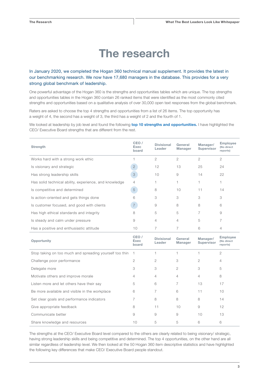# The research

#### In January 2020, we completed the Hogan 360 technical manual supplement. It provides the latest in our benchmarking research. We now have 17,680 managers in the database. This provides for a very strong global benchmark of leadership.

One powerful advantage of the Hogan 360 is the strengths and opportunities tables which are unique. The top strengths and opportunities tables in the Hogan 360 contain 26 ranked items that were identified as the most commonly cited strengths and opportunities based on a qualitative analysis of over 30,000 open text responses from the global benchmark.

Raters are asked to choose the top 4 strengths and opportunities from a list of 26 items. The top opportunity has a weight of 4, the second has a weight of 3, the third has a weight of 2 and the fourth of 1.

We looked at leadership by job level and found the following top 10 strengths and opportunities. I have highlighted the CEO/ Executive Board strengths that are different from the rest.

| <b>Strength</b>                                        | CEO /<br>Exec<br>board | <b>Divisional</b><br>Leader | General<br><b>Manager</b> | Manager/<br><b>Supervisor</b> | <b>Employee</b><br>(No direct<br>reports) |
|--------------------------------------------------------|------------------------|-----------------------------|---------------------------|-------------------------------|-------------------------------------------|
| Works hard with a strong work ethic                    |                        | 2                           | 2                         | 2                             | $\overline{2}$                            |
| Is visionary and strategic                             | $\overline{2}$         | 12                          | 13                        | 25                            | 24                                        |
| Has strong leadership skills                           | 3                      | 10                          | 9                         | 14                            | 22                                        |
| Has solid technical ability, experience, and knowledge | 4                      |                             |                           |                               |                                           |
| Is competitive and determined                          | 5                      | 8                           | 10                        | 11                            | 14                                        |
| Is action-oriented and gets things done                | 6                      | 3                           | 3                         | 3                             | 3                                         |
| Is customer focused, and good with clients             | $\overline{7}$         | 9                           | 8                         | 8                             | 6                                         |
| Has high ethical standards and integrity               | 8                      | 5                           | 5                         | 7                             | 9                                         |
| Is steady and calm under pressure                      | 9                      | 4                           | 4                         | 5                             | 7                                         |
| Has a positive and enthusiastic attitude               | 10                     | 7                           | 7                         | 6                             | 4                                         |

| Opportunity                                             | CEO/<br>Exec<br>board | <b>Divisional</b><br>Leader | General<br><b>Manager</b> | Manager/<br>Supervisor | <b>Employee</b><br>(No direct<br>reports) |
|---------------------------------------------------------|-----------------------|-----------------------------|---------------------------|------------------------|-------------------------------------------|
| Stop taking on too much and spreading yourself too thin |                       |                             |                           |                        | $\mathfrak{D}$                            |
| Challenge poor performance                              | 2                     | 2                           | 3                         | 2                      | 4                                         |
| Delegate more                                           | 3                     | 3                           | $\overline{2}$            | 3                      | 5                                         |
| Motivate others and improve morale                      | 4                     | 4                           | 4                         | 4                      | 8                                         |
| Listen more and let others have their say               | 5                     | 6                           | 7                         | 13                     | 17                                        |
| Be more available and visible in the workplace          | 6                     | 7                           | 6                         | 11                     | 10                                        |
| Set clear goals and performance indicators              |                       | 8                           | 8                         | 8                      | 14                                        |
| Give appropriate feedback                               | 8                     | 11                          | 10                        | 9                      | 12                                        |
| Communicate better                                      | 9                     | 9                           | 9                         | 10                     | 13                                        |
| Share knowledge and resources                           | 10                    | 5                           | 5                         | 6                      | 6                                         |

The strengths at the CEO/ Executive Board level compared to the others are clearly related to being visionary/ strategic, having strong leadership skills and being competitive and determined. The top 4 opportunities, on the other hand are all similar regardless of leadership level. We then looked at the 50 Hogan 360 item descriptive statistics and have highlighted the following key differences that make CEO/ Executive Board people standout.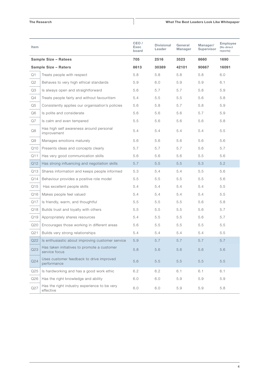#### The Research

| Item            |                                                              | CEO /<br>Exec<br>board | <b>Divisional</b><br>Leader | General<br>Manager | Manager/<br>Supervisor | <b>Employee</b><br>(No direct<br>reports) |
|-----------------|--------------------------------------------------------------|------------------------|-----------------------------|--------------------|------------------------|-------------------------------------------|
|                 | Sample Size - Ratees                                         | 705                    | 2516                        | 3523               | 8660                   | 1690                                      |
|                 | Sample Size - Raters                                         | 8613                   | 30389                       | 42101              | 90667                  | 16091                                     |
| Q1              | Treats people with respect                                   | 5.8                    | 5.8                         | 5.8                | 5.8                    | 6.0                                       |
| Q2              | Behaves to very high ethical standards                       | 5.9                    | 6.0                         | 5.9                | 5.9                    | 6.1                                       |
| Q3              | Is always open and straightforward                           | 5.6                    | 5.7                         | 5.7                | 5.8                    | 5.9                                       |
| Q4              | Treats people fairly and without favouritism                 | 5.4                    | 5.5                         | 5.5                | 5.6                    | 5.8                                       |
| Q5              | Consistently applies our organisation's policies             | 5.6                    | 5.8                         | 5.7                | 5.8                    | 5.9                                       |
| Q6              | Is polite and considerate                                    | 5.6                    | 5.6                         | 5.6                | 5.7                    | 5.9                                       |
| Q7              | Is calm and even tempered                                    | 5.5                    | 5.6                         | 5.6                | 5.6                    | 5.8                                       |
| Q8              | Has high self awareness around personal<br>improvement       | 5.4                    | 5.4                         | 5.4                | 5.4                    | 5.5                                       |
| Q9              | Manages emotions maturely                                    | 5.6                    | 5.6                         | 5.6                | 5.6                    | 5.6                                       |
| Q10             | Presents ideas and concepts clearly                          | 5.7                    | 5.7                         | 5.7                | 5.6                    | 5.7                                       |
| Q11             | Has very good communication skills                           | 5.6                    | 5.6                         | 5.6                | 5.5                    | 5.6                                       |
| Q <sub>12</sub> | Has strong influencing and negotiation skills                | 5.7                    | 5.5                         | 5.5                | 5.3                    | 5.2                                       |
| Q13             | Shares information and keeps people informed                 | 5.3                    | 5.4                         | 5.4                | 5.5                    | 5.6                                       |
| Q14             | Behaviour provides a positive role model                     | 5.5                    | 5.5                         | 5.5                | 5.5                    | 5.6                                       |
| Q15             | Has excellent people skills                                  | 5.4                    | 5.4                         | 5.4                | 5.4                    | 5.5                                       |
| Q16             | Makes people feel valued                                     | 5.4                    | 5.4                         | 5.4                | 5.4                    | 5.5                                       |
| Q17             | Is friendly, warm, and thoughtful                            | 5.5                    | 5.5                         | 5.5                | 5.6                    | 5.8                                       |
| Q18             | Builds trust and loyalty with others                         | 5.5                    | 5.5                         | 5.5                | 5.6                    | 5.7                                       |
| Q19             | Appropriately shares resources                               | 5.4                    | 5.5                         | 5.5                | 5.6                    | 5.7                                       |
| Q20             | Encourages those working in different areas                  | 5.6                    | 5.5                         | 5.5                | 5.5                    | 5.5                                       |
| Q21             | Builds very strong relationships                             | 5.4                    | 5.4                         | 5.4                | 5.4                    | 5.5                                       |
| Q22             | Is enthusiastic about improving customer service             | 5.9                    | 5.7                         | 5.7                | 5.7                    | 5.7                                       |
| Q23             | Has taken initiatives to promote a customer<br>service focus | 5.8                    | 5.6                         | 5.6                | 5.6                    | 5.6                                       |
| Q24             | Uses customer feedback to drive improved<br>performance      | 5.6                    | 5.5                         | 5.5                | 5.5                    | 5.5                                       |
| Q <sub>25</sub> | Is hardworking and has a good work ethic                     | 6.2                    | 6.2                         | 6.1                | 6.1                    | 6.1                                       |
| Q26             | Has the right knowledge and ability                          | 6.0                    | 6.0                         | 5.9                | 5.9                    | 5.9                                       |
| Q27             | Has the right industry experience to be very<br>effective    | 6.0                    | 6.0                         | 5.9                | 5.9                    | 5.8                                       |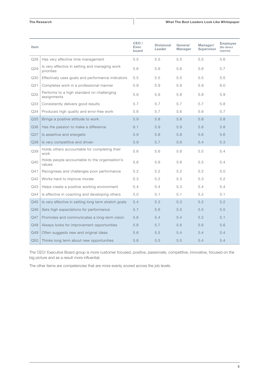#### The Research

#### What The Best Leaders Look Like Whitepaper

| Item            |                                                              | CEO /<br><b>Exec</b><br>board | <b>Divisional</b><br>Leader | General<br><b>Manager</b> | Manager/<br><b>Supervisor</b> | <b>Employee</b><br>(No direct<br>reports) |
|-----------------|--------------------------------------------------------------|-------------------------------|-----------------------------|---------------------------|-------------------------------|-------------------------------------------|
| Q28             | Has very effective time management                           | 5.5                           | 5.5                         | 5.5                       | 5.5                           | 5.6                                       |
| Q29             | Is very effective in setting and managing work<br>priorities | 5.6                           | 5.6                         | 5.6                       | 5.6                           | 5.7                                       |
| Q30             | Effectively uses goals and performance indicators            | 5.5                           | 5.5                         | 5.5                       | 5.5                           | 5.5                                       |
| Q31             | Completes work in a professional manner                      | 5.9                           | 5.9                         | 5.9                       | 5.9                           | 6.0                                       |
| Q32             | Performs to a high standard on challenging<br>assignments    | 5.9                           | 5.9                         | 5.8                       | 5.8                           | 5.9                                       |
| Q33             | Consistently delivers good results                           | 5.7                           | 5.7                         | 5.7                       | 5.7                           | 5.8                                       |
| Q34             | Produces high quality and error-free work                    | 5.6                           | 5.7                         | 5.6                       | 5.6                           | 5.7                                       |
| Q35             | Brings a positive attitude to work                           | 5.9                           | 5.8                         | 5.8                       | 5.8                           | 5.8                                       |
| Q36             | Has the passion to make a difference                         | 6.1                           | 5.9                         | 5.9                       | 5.8                           | 5.8                                       |
| Q <sub>37</sub> | Is assertive and energetic                                   | 5.9                           | 5.8                         | 5.8                       | 5.6                           | 5.6                                       |
| Q38             | Is very competitive and driven                               | 5.9                           | 5.7                         | 5.6                       | 5.4                           | 5.3                                       |
| Q39             | Holds others accountable for completing their<br>work        | 5.6                           | 5.6                         | 5.6                       | 5.5                           | 5.4                                       |
| Q40             | Holds people accountable to the organisation's<br>values     | 5.6                           | 5.6                         | 5.6                       | 5.5                           | 5.4                                       |
| Q41             | Recognises and challenges poor performance                   | 5.2                           | 5.2                         | 5.2                       | 5.2                           | 5.0                                       |
| Q42             | Works hard to improve morale                                 | 5.3                           | 5.2                         | 5.3                       | 5.3                           | 5.2                                       |
| Q43             | Helps create a positive working environment                  | 5.4                           | 5.4                         | 5.3                       | 5.4                           | 5.4                                       |
| Q44             | Is effective in coaching and developing others               | 5.0                           | 5.1                         | 5.1                       | 5.2                           | 5.1                                       |
| Q45             | Is very effective in setting long term stretch goals         | 5.4                           | 5.3                         | 5.3                       | 5.2                           | 5.2                                       |
| Q46             | Sets high expectations for performance                       | 5.7                           | 5.6                         | 5.5                       | 5.5                           | 5.5                                       |
| Q47             | Promotes and communicates a long-term vision                 | 5.6                           | 5.4                         | 5.4                       | 5.2                           | 5.1                                       |
| Q48             | Always looks for improvement opportunities                   | 5.8                           | 5.7                         | 5.6                       | 5.6                           | 5.6                                       |
| Q49             | Often suggests new and original ideas                        | 5.6                           | 5.5                         | 5.4                       | 5.4                           | 5.4                                       |
| Q50             | Thinks long term about new opportunities                     | 5.8                           | 5.5                         | 5.5                       | 5.4                           | 5.4                                       |

The CEO/ Executive Board group is more customer focused, positive, passionate, competitive, innovative, focused on the big picture and as a result more influential.

The other items are competencies that are more evenly scored across the job levels.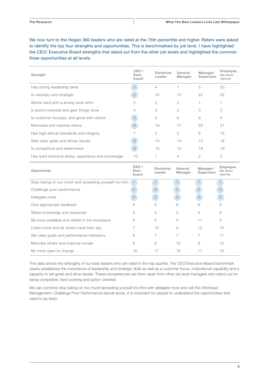We now turn to the Hogan 360 leaders who are rated at the 75th percentile and higher. Raters were asked to identify the top four strengths and opportunities. This is benchmarked by job level. I have highlighted the CEO/ Executive Board strengths that stand out from the other job levels and highlighted the common three opportunities at all levels.

| <b>Strength</b>                                       | CEO/<br>Exec<br>board | <b>Divisional</b><br>Leader | General<br><b>Manager</b> | Manager/<br><b>Supervisor</b> | <b>Employee</b><br>(No direct<br>reports) |
|-------------------------------------------------------|-----------------------|-----------------------------|---------------------------|-------------------------------|-------------------------------------------|
| Has strong leadership skills                          |                       | 4                           |                           | 5                             | 20                                        |
| Is visionary and strategic                            | $\overline{2}$        | 10                          | 12                        | 22                            | 22                                        |
| Works hard with a strong work ethic                   | 3                     | $\overline{c}$              | 3                         |                               |                                           |
| Is action-oriented and gets things done               | 4                     | 3                           | 2                         | 3                             | 3                                         |
| Is customer focused, and good with clients            | 5                     | 9                           | 8                         | 9                             | 6                                         |
| Motivates and inspires others                         | 6                     | 19                          | 17                        | 20                            | 21                                        |
| Has high ethical standards and integrity              |                       | 5                           | 5                         | 8                             | 10                                        |
| Sets clear goals and drives results                   | 8                     | 14                          | 14                        | 13                            | 18                                        |
| Is competitive and determined                         | $\Theta$              | 15                          | 15                        | 19                            | 19                                        |
| Has solid technical ability, experience and knowledge | 10                    |                             | 4                         | 2                             | $\overline{2}$                            |

| Opportunity                                             | CEO/<br>Exec<br>board | <b>Divisional</b><br>General<br>Leader<br><b>Manager</b> |                | Manager/<br><b>Supervisor</b> | <b>Employee</b><br>(No direct<br>reports) |  |
|---------------------------------------------------------|-----------------------|----------------------------------------------------------|----------------|-------------------------------|-------------------------------------------|--|
| Stop taking on too much and spreading yourself too thin | $\overline{1}$        |                                                          |                |                               |                                           |  |
| Challenge poor performance                              | $\overline{2}$        | 3                                                        | 3              | 3                             | 3                                         |  |
| Delegate more                                           | 3                     | $\mathbf{2}$                                             | $\mathbf{2}$   | $\mathbf{2}$                  | $\mathbf{2}$                              |  |
| Give appropriate feedback                               | 4                     | 6                                                        | 6              | 6                             | 8                                         |  |
| Share knowledge and resources                           | 5                     | 4                                                        | 4              | 4                             | 6                                         |  |
| Be more available and visible in the workplace          | 6                     | 5                                                        | 5              | 11                            | 9                                         |  |
| Listen more and let others have their say               |                       | 10                                                       | 9              | 12                            | 15                                        |  |
| Set clear goals and performance indicators              | 8                     | 7                                                        | $\overline{7}$ | 7                             | 11                                        |  |
| Motivate others and improve morale                      | 9                     | 8                                                        | 10             | 9                             | 12                                        |  |
| Be more open to change                                  | 10 <sup>°</sup>       | 17                                                       | 18             | 17                            | 16                                        |  |

This data shows the strengths of our best leaders who are rated in the top quartile. The CEO/Executive Board benchmark clearly establishes the importance of leadership and strategic skills as well as a customer focus, motivational capability and a capacity to set goals and drive results. These competencies set them apart from other job level managers who stand out for being competent, hard working and action oriented.

We can combine stop taking on too much/spreading yourself too thin with delegate more and call this Workload Management. Challenge Poor Performance stands alone. It is important for people to understand the opportunities that need to be fixed.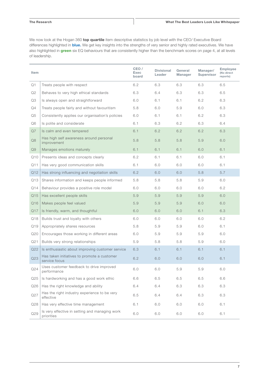#### The Research

We now look at the Hogan 360 top quartile item descriptive statistics by job level with the CEO/ Executive Board differences highlighted in **blue.** We get key insights into the strengths of very senior and highly rated executives. We have also highlighted in green six EQ behaviours that are consistently higher than the benchmark scores on page 4, at all levels of leadership.

| Item            |                                                              | CEO /<br>Exec<br>board | <b>Divisional</b><br>Leader | General<br><b>Manager</b> | Manager/<br>Supervisor | <b>Employee</b><br>(No direct<br>reports) |
|-----------------|--------------------------------------------------------------|------------------------|-----------------------------|---------------------------|------------------------|-------------------------------------------|
| Q1              | Treats people with respect                                   | 6.2                    | 6.3                         | 6.3                       | 6.3                    | 6.5                                       |
| Q2              | Behaves to very high ethical standards                       | 6.3                    | 6.4                         | 6.3                       | 6.3                    | 6.5                                       |
| Q3              | Is always open and straightforward                           | 6.0                    | 6.1                         | 6.1                       | 6.2                    | 6.3                                       |
| Q4              | Treats people fairly and without favouritism                 | 5.8                    | 6.0                         | 5.9                       | 6.0                    | 6.3                                       |
| Q <sub>5</sub>  | Consistently applies our organisation's policies             | 6.0                    | 6.1                         | 6.1                       | 6.2                    | 6.3                                       |
| Q6              | Is polite and considerate                                    | 6.1                    | 6.3                         | 6.2                       | 6.3                    | 6.4                                       |
| Q7              | Is calm and even tempered                                    | 6.1                    | 6.2                         | 6.2                       | 6.2                    | 6.3                                       |
| Q8              | Has high self awareness around personal<br>improvement       | 5.8                    | 5.8                         | 5.8                       | 5.9                    | 6.0                                       |
| Q9              | Manages emotions maturely                                    | 6.1                    | 6.1                         | 6.1                       | 6.0                    | 6.1                                       |
| Q10             | Presents ideas and concepts clearly                          | 6.2                    | 6.1                         | 6.1                       | 6.0                    | 6.1                                       |
| Q11             | Has very good communication skills                           | 6.1                    | 6.0                         | 6.0                       | 6.0                    | 6.1                                       |
| Q12             | Has strong influencing and negotiation skills                | 6.2                    | 6.0                         | 6.0                       | 5.8                    | 5.7                                       |
| Q13             | Shares information and keeps people informed                 | 5.8                    | 5.8                         | 5.8                       | 5.9                    | 6.0                                       |
| Q14             | Behaviour provides a positive role model                     | 6.0                    | 6.0                         | 6.0                       | 6.0                    | 6.2                                       |
| Q15             | Has excellent people skills                                  | 5.9                    | 5.9                         | 5.9                       | 5.9                    | 6.0                                       |
| Q16             | Makes people feel valued                                     | 5.9                    | 5.9                         | 5.9                       | 6.0                    | 6.0                                       |
| Q17             | Is friendly, warm, and thoughtful                            | 6.0                    | 6.0                         | 6.0                       | 6.1                    | 6.3                                       |
| Q18             | Builds trust and loyalty with others                         | 6.0                    | 6.0                         | 6.0                       | 6.0                    | 6.2                                       |
| Q19             | Appropriately shares resources                               | 5.8                    | 5.9                         | 5.9                       | 6.0                    | 6.1                                       |
| Q20             | Encourages those working in different areas                  | 6.0                    | 5.9                         | 5.9                       | 5.9                    | 6.0                                       |
| Q21             | Builds very strong relationships                             | 5.9                    | 5.8                         | 5.8                       | 5.9                    | 6.0                                       |
| Q22             | Is enthusiastic about improving customer service             | 6.3                    | 6.1                         | 6.1                       | 6.1                    | 6.1                                       |
| Q23             | Has taken initiatives to promote a customer<br>service focus | 6.2                    | 6.0                         | 6.0                       | 6.0                    | 6.1                                       |
| Q24             | Uses customer feedback to drive improved<br>performance      | 6.0                    | 6.0                         | 5.9                       | 5.9                    | 6.0                                       |
| Q <sub>25</sub> | Is hardworking and has a good work ethic                     | 6.6                    | 6.5                         | 6.5                       | 6.5                    | 6.6                                       |
| Q26             | Has the right knowledge and ability                          | 6.4                    | 6.4                         | 6.3                       | 6.3                    | 6.3                                       |
| Q27             | Has the right industry experience to be very<br>effective    | 6.5                    | 6.4                         | 6.4                       | 6.3                    | 6.3                                       |
| Q28             | Has very effective time management                           | 6.1                    | 6.0                         | 6.0                       | 6.0                    | 6.1                                       |
| Q29             | Is very effective in setting and managing work<br>priorities | 6.0                    | 6.0                         | 6.0                       | 6.0                    | 6.1                                       |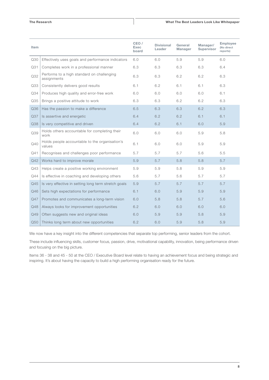#### The Research

#### What The Best Leaders Look Like Whitepaper

| Item |                                                           | CEO /<br><b>Exec</b><br>board | <b>Divisional</b><br>Leader | General<br><b>Manager</b> | Manager/<br><b>Supervisor</b> | <b>Employee</b><br>(No direct<br>reports) |
|------|-----------------------------------------------------------|-------------------------------|-----------------------------|---------------------------|-------------------------------|-------------------------------------------|
| Q30  | Effectively uses goals and performance indicators         | 6.0                           | 6.0                         | 5.9                       | 5.9                           | 6.0                                       |
| Q31  | Completes work in a professional manner                   | 6.3                           | 6.3                         | 6.3                       | 6.3                           | 6.4                                       |
| Q32  | Performs to a high standard on challenging<br>assignments | 6.3                           | 6.3                         | 6.2                       | 6.2                           | 6.3                                       |
| Q33  | Consistently delivers good results                        | 6.1                           | 6.2                         | 6.1                       | 6.1                           | 6.3                                       |
| Q34  | Produces high quality and error-free work                 | 6.0                           | 6.0                         | 6.0                       | 6.0                           | 6.1                                       |
| Q35  | Brings a positive attitude to work                        | 6.3                           | 6.3                         | 6.2                       | 6.2                           | 6.3                                       |
| Q36  | Has the passion to make a difference                      | 6.5                           | 6.3                         | 6.3                       | 6.2                           | 6.3                                       |
| Q37  | Is assertive and energetic                                | 6.4                           | 6.2                         | 6.2                       | 6.1                           | 6.1                                       |
| Q38  | Is very competitive and driven                            | 6.4                           | 6.2                         | 6.1                       | 6.0                           | 5.9                                       |
| Q39  | Holds others accountable for completing their<br>work     | 6.0                           | 6.0                         | 6.0                       | 5.9                           | 5.8                                       |
| Q40  | Holds people accountable to the organisation's<br>values  | 6.1                           | 6.0                         | 6.0                       | 5.9                           | 5.9                                       |
| Q41  | Recognises and challenges poor performance                | 5.7                           | 5.7                         | 5.7                       | 5.6                           | 5.5                                       |
| Q42  | Works hard to improve morale                              | 5.9                           | 5.7                         | 5.8                       | 5.8                           | 5.7                                       |
| Q43  | Helps create a positive working environment               | 5.9                           | 5.9                         | 5.8                       | 5.9                           | 5.9                                       |
| Q44  | Is effective in coaching and developing others            | 5.6                           | 5.7                         | 5.6                       | 5.7                           | 5.7                                       |
| Q45  | Is very effective in setting long term stretch goals      | 5.9                           | 5.7                         | 5.7                       | 5.7                           | 5.7                                       |
| Q46  | Sets high expectations for performance                    | 6.1                           | 6.0                         | 5.9                       | 5.9                           | 5.9                                       |
| Q47  | Promotes and communicates a long-term vision              | 6.0                           | 5.8                         | 5.8                       | 5.7                           | 5.6                                       |
| Q48  | Always looks for improvement opportunities                | 6.2                           | 6.0                         | 6.0                       | 6.0                           | 6.0                                       |
| Q49  | Often suggests new and original ideas                     | 6.0                           | 5.9                         | 5.9                       | 5.8                           | 5.9                                       |
| Q50  | Thinks long term about new opportunities                  | 6.2                           | 6.0                         | 5.9                       | 5.8                           | 5.9                                       |

We now have a key insight into the different competencies that separate top performing, senior leaders from the cohort.

These include influencing skills, customer focus, passion, drive, motivational capability, innovation, being performance driven and focusing on the big picture.

Items 36 - 38 and 45 - 50 at the CEO / Executive Board level relate to having an achievement focus and being strategic and inspiring. It's about having the capacity to build a high performing organisation ready for the future.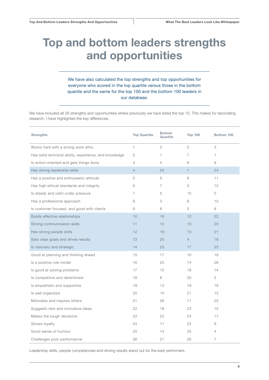# Top and bottom leaders strengths and opportunities

#### We have also calculated the top strengths and top opportunities for everyone who scored in the top quartile versus those in the bottom quartile and the same for the top 100 and the bottom 100 leaders in our database.

We have included all 26 strengths and opportunities where previously we have listed the top 10. This makes for fascinating research. I have highlighted the key differences.

| <b>Strengths</b>                                       | <b>Top Quartile</b> | <b>Bottom</b><br>Quartile | <b>Top 100</b> | Bottom 100     |
|--------------------------------------------------------|---------------------|---------------------------|----------------|----------------|
| Works hard with a strong work ethic                    | 1                   | $\overline{2}$            | $\overline{2}$ | 3              |
| Has solid technical ability, experience, and knowledge | 2                   | 1                         | 7              | 1              |
| Is action-oriented and gets things done                | 3                   | 4                         | 6              | 9              |
| Has strong leadership skills                           | $\overline{4}$      | 24                        | $\mathbf{1}$   | 24             |
| Has a positive and enthusiastic attitude               | 5                   | 9                         | 8              | 11             |
| Has high ethical standards and integrity               | 6                   | 7                         | 3              | 12             |
| Is steady and calm under pressure                      | 7                   | 5                         | 15             | 5              |
| Has a professional approach                            | 8                   | 3                         | 9              | 10             |
| Is customer focused, and good with clients             | 9                   | 8                         | 5              | 8              |
| Builds effective relationships                         | 10                  | 16                        | 12             | 22             |
| Strong communication skills                            | 11                  | 15                        | 10             | 20             |
| Has strong people skills                               | 12                  | 19                        | 13             | 21             |
| Sets clear goals and drives results                    | 13                  | 20                        | $\overline{4}$ | 18             |
| Is visionary and strategic                             | 14                  | 23                        | 17             | 23             |
| Good at planning and thinking ahead                    | 15                  | 17                        | 16             | 19             |
| Is a positive role model                               | 16                  | 25                        | 14             | 26             |
| Is good at solving problems                            | 17                  | 12                        | 18             | 14             |
| Is competitive and determined                          | 18                  | 6                         | 20             | $\overline{2}$ |
| Is empathetic and supportive                           | 19                  | 13                        | 19             | 16             |
| Is well organized                                      | 20                  | 10 <sup>°</sup>           | 21             | 13             |
| Motivates and inspires others                          | 21                  | 26                        | 11             | 25             |
| Suggests new and innovative ideas                      | 22                  | 18                        | 23             | 15             |
| Makes the tough decisions                              | 23                  | 22                        | 24             | 17             |
| Shows loyalty                                          | 24                  | 11                        | 22             | 6              |
| Good sense of humour                                   | 25                  | 14                        | 25             | $\overline{4}$ |
| Challenges poor performance                            | 26                  | 21                        | 26             | $\overline{7}$ |

Leadership skills, people competencies and driving results stand out for the best performers.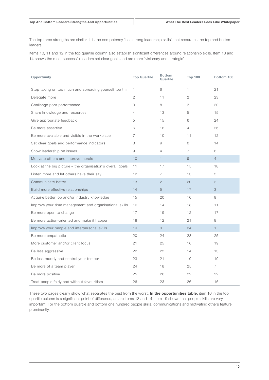The top three strengths are similar. It is the competency "has strong leadership skills" that separates the top and bottom leaders.

Items 10, 11 and 12 in the top quartile column also establish significant differences around relationship skills. Item 13 and 14 shows the most successful leaders set clear goals and are more "visionary and strategic".

| Opportunity                                                | <b>Top Quartile</b> | <b>Bottom</b><br>Quartile | <b>Top 100</b> | Bottom 100     |
|------------------------------------------------------------|---------------------|---------------------------|----------------|----------------|
| Stop taking on too much and spreading yourself too thin    | $\overline{1}$      | 6                         | $\mathbf{1}$   | 21             |
| Delegate more                                              | 2                   | 11                        | 2              | 23             |
| Challenge poor performance                                 | 3                   | 8                         | 3              | 20             |
| Share knowledge and resources                              | 4                   | 13                        | 5              | 15             |
| Give appropriate feedback                                  | 5                   | 15                        | 6              | 24             |
| Be more assertive                                          | 6                   | 16                        | $\overline{4}$ | 26             |
| Be more available and visible in the workplace             | 7                   | 10                        | 11             | 12             |
| Set clear goals and performance indicators                 | 8                   | 9                         | 8              | 14             |
| Show leadership on issues                                  | 9                   | 4                         | $\overline{7}$ | 6              |
| Motivate others and improve morale                         | 10                  | $\mathbf{1}$              | 9              | $\overline{4}$ |
| Look at the big picture - the organisation's overall goals | 11                  | 17                        | 15             | 18             |
| Listen more and let others have their say                  | 12                  | 7                         | 13             | 5              |
| Communicate better                                         | 13                  | $\overline{2}$            | 20             | $\overline{2}$ |
| Build more effective relationships                         | 14                  | 5                         | 17             | 3              |
| Acquire better job and/or industry knowledge               | 15                  | 20                        | 10             | 9              |
| Improve your time management and organisational skills     | 16                  | 14                        | 18             | 11             |
| Be more open to change                                     | 17                  | 19                        | 12             | 17             |
| Be more action-oriented and make it happen                 | 18                  | 12                        | 21             | 8              |
| Improve your people and interpersonal skills               | 19                  | 3                         | 24             | $\mathbf{1}$   |
| Be more empathetic                                         | 20                  | 24                        | 23             | 25             |
| More customer and/or client focus                          | 21                  | 25                        | 16             | 19             |
| Be less aggressive                                         | 22                  | 22                        | 14             | 13             |
| Be less moody and control your temper                      | 23                  | 21                        | 19             | 10             |
| Be more of a team player                                   | 24                  | 18                        | 25             | $\overline{7}$ |
| Be more positive                                           | 25                  | 26                        | 22             | 22             |
| Treat people fairly and without favouritism                | 26                  | 23                        | 26             | 16             |

These two pages clearly show what separates the best from the worst. In the opportunities table, item 10 in the top quartile column is a significant point of difference, as are items 13 and 14. Item 19 shows that people skills are very important. For the bottom quartile and bottom one hundred people skills, communications and motivating others feature prominently.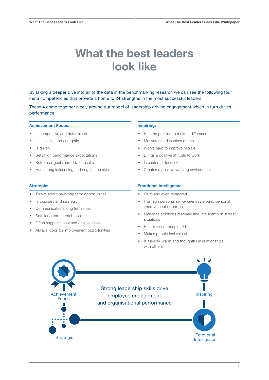# What the best leaders look like

By taking a deeper dive into all of the data in the benchmarking research we can see the following four meta competencies that provide a home to 24 strengths in the most successful leaders.

These 4 come together nicely around our model of leadership driving engagement which in turn drives performance.

#### Achievement Focus:

- Is competitive and determined
- Is assertive and energetic
- Is driven
- Sets high performance expectations
- Sets clear goals and drives results
- Has strong influencing and negotiation skills

#### Strategic:

- Thinks about new long term opportunities
- Is visionary and strategic
- Communicates a long term vision
- Sets long term stretch goals
- Often suggests new and original ideas
- Always looks for improvement opportunities

#### Inspiring:

- Has the passion to make a difference
- Motivates and inspires others
- Works hard to improve morale
- Brings a positive attitude to work
- Is customer focused
- Creates a positive working environment

#### Emotional Intelligence:

- Calm and even tempered
- Has high personal self-awareness around personal improvement opportunities
- Manages emotions maturely and intelligently in stressful situations
- Has excellent people skills
- Makes people feel valued
- Is friendly, warm and thoughtful in relationships with others

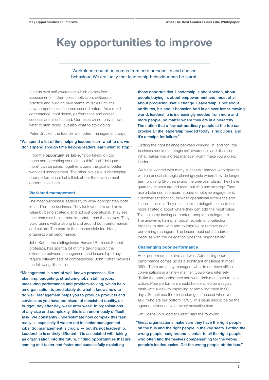### Key opportunities to improve

#### Workplace reputation comes from core personality and chosen behaviour. We are lucky that leadership behaviour can be learnt.

It starts with self-awareness which comes from assessments. It then takes motivation, deliberate practice and building new mental muscles until the new competencies become second nature. As a result, competence, confidence, performance and career success are all enhanced. Our research not only shows what to start doing, but also what to stop doing.

Peter Drucker, the founder of modern management, says:

#### "We spend a lot of time helping leaders learn what to do, we don't spend enough time helping leaders learn what to stop."

From the **opportunities table**, "stop taking on too much and spreading yourself too thin" and "delegate more" can be joined together around the goal of better workload management. The other big issue is challenging poor performance. Let's think about the development opportunities here.

#### Workload management

The most successful leaders try to work appropriately both 'in' and 'on' the business. They look where to add extra value by being strategic and not just operational. They see their teams as being more important than themselves. They build teams with a strong brand around both performance and culture. The team is then responsible for driving organisational performance.

John Kotter, the distinguished Harvard Business School professor, has spent a lot of time talking about the difference between management and leadership. They require different sets of competencies. John Kotter provides the following discussion:

"Management is a set of well-known processes, like planning, budgeting, structuring jobs, staffing jobs, measuring performance and problem-solving, which help an organisation to predictably do what it knows how to do well. Management helps you to produce products and services as you have promised, of consistent quality, on budget, day after day, week after week. In organisations of any size and complexity, this is an enormously difficult task. We constantly underestimate how complex this task really is, especially if we are not in senior management jobs. So, management is crucial — but it's not leadership. Leadership is entirely different. It is associated with taking an organisation into the future, finding opportunities that are coming at it faster and faster and successfully exploiting

those opportunities. Leadership is about vision, about people buying in, about empowerment and, most of all, about producing useful change. Leadership is not about attributes, it's about behavior. And in an ever-faster-moving world, leadership is increasingly needed from more and more people, no matter where they are in a hierarchy. The notion that a few extraordinary people at the top can provide all the leadership needed today is ridiculous, and it's a recipe for failure."

Getting the right balance between working 'in' and 'on' the business requires strategic self-awareness and discipline. What makes you a great manager won't make you a great leader.

We have worked with many successful leaders who operate with an annual strategic planning cycle where they do longer term planning (3-5 years) and the one-year plans. They have quarterly reviews around team building and strategy. They use a balanced scorecard around employee engagement, customer satisfaction, service/ operational excellence and financial results. They must learn to delegate so as to be more strategic about where they can add the most value. This helps by having competent people to delegate to. The answer is having a robust recruitment/ selection process to start with and to improve or remove poor performing managers. The leader must set standards because with the delegation goes the responsibility.

#### Challenging poor performance

Poor performers are alive and well. Addressing poor performance comes up as a significant challenge in most 360s. There are many managers who do not have difficult conversations in a timely manner. Coworkers intensely dislike the poor performers and want their managers to take action. Poor performers should be identified on a regular basis with a view to improving or removing them in 90 days. Sometimes the discussion gets focused when you ask, "who are our bottom 10%". This issue should be on the agenda permanently for every executive team.

Jim Collins, in "Good to Great" said the following:

"Great organisations make sure they have the right people on the bus and the right people in the key seats. Letting the wrong people hang around is unfair to all the right people who often find themselves compensating for the wrong people's inadequacies. Get the wrong people off the bus."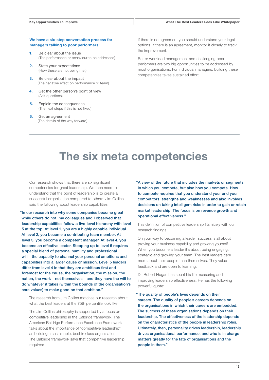#### We have a six-step conversation process for managers talking to poor performers:

- 1. Be clear about the issue (The performance or behaviour to be addressed)
- 2. State your expectations (How these are not being met)
- 3. Be clear about the impact (The negative effect on performance or team)
- 4. Get the other person's point of view (Ask questions)
- 5. Explain the consequences (The next steps if this is not fixed)
- 6. Get an agreement (The details of the way forward)

If there is no agreement you should understand your legal options. If there is an agreement, monitor it closely to track the improvement.

Better workload management and challenging poor performers are two big opportunities to be addressed by most organisations. For individual managers, building these competencies takes sustained effort.

### The six meta competencies

Our research shows that there are six significant competencies for great leadership. We then need to understand that the point of leadership is to create a successful organisation compared to others. Jim Collins said the following about leadership capabilities:

"In our research into why some companies become great while others do not, my colleagues and I observed that leadership capabilities follow a five-level hierarchy with level 5 at the top. At level 1, you are a highly capable individual. At level 2, you become a contributing team member. At level 3, you become a competent manager. At level 4, you become an effective leader. Stepping up to level 5 requires a special blend of personal humility and professional will – the capacity to channel your personal ambitions and capabilities into a larger cause or mission. Level 5 leaders differ from level 4 in that they are ambitious first and foremost for the cause, the organisation, the mission, the nation, the work – not themselves – and they have the will to do whatever it takes (within the bounds of the organisation's core values) to make good on that ambition."

The research from Jim Collins matches our research about what the best leaders at the 75th percentile look like.

The Jim Collins philosophy is supported by a focus on competitive leadership in the Baldrige framework. The American Baldrige Performance Excellence Framework talks about the importance of "competitive leadership" as building a sustainable, best in class organisation. The Baldrige framework says that competitive leadership requires:

"A view of the future that includes the markets or segments in which you compete, but also how you compete. How to compete requires that you understand your and your competitors' strengths and weaknesses and also involves decisions on taking intelligent risks in order to gain or retain market leadership. The focus is on revenue growth and operational effectiveness."

This definition of competitive leadership fits nicely with our research findings.

On your way to becoming a leader, success is all about proving your business capability and growing yourself. When you become a leader it's about being engaging, strategic and growing your team. The best leaders care more about their people than themselves. They value feedback and are open to learning.

Dr. Robert Hogan has spent his life measuring and improving leadership effectiveness. He has the following powerful quote:

"The quality of people's lives depends on their careers. The quality of people's careers depends on the organisations in which their careers are embedded. The success of these organisations depends on their leadership. The effectiveness of the leadership depends on the characteristics of the people in leadership roles. Ultimately, then, personality drives leadership, leadership drives organisational performance, and who is in charge matters greatly for the fate of organisations and the people in them."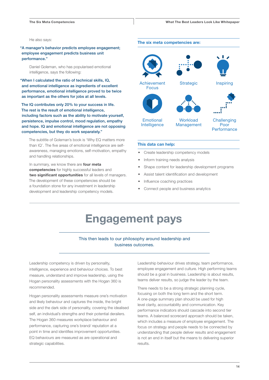#### He also says:

"A manager's behavior predicts employee engagement; employee engagement predicts business unit performance."

Daniel Goleman, who has popularised emotional intelligence, says the following:

"When I calculated the ratio of technical skills, IQ, and emotional intelligence as ingredients of excellent performance, emotional intelligence proved to be twice as important as the others for jobs at all levels.

The IQ contributes only 20% to your success in life. The rest is the result of emotional intelligence, including factors such as the ability to motivate yourself, persistence, impulse control, mood regulation, empathy and hope. IQ and emotional intelligence are not opposing competencies, but they do work separately."

The subtitle of Goleman's book is 'Why EQ matters more than IQ'. The five areas of emotional intelligence are selfawareness, managing emotions, self-motivation, empathy and handling relationships.

In summary, we know there are four meta competencies for highly successful leaders and two significant opportunities for all levels of managers. The development of these competencies should be a foundation stone for any investment in leadership development and leadership competency models.



The six meta competencies are:





#### This data can help:

Emotional Intelligence

- Create leadership competency models
- Inform training needs analysis
- Shape content for leadership development programs
- Assist talent identification and development
- Influence coaching practices
- Connect people and business analytics

### Engagement pays

#### This then leads to our philosophy around leadership and business outcomes.

Leadership competency is driven by personality, intelligence, experience and behaviour choices. To best measure, understand and improve leadership, using the Hogan personality assessments with the Hogan 360 is recommended.

Hogan personality assessments measure one's motivation and likely behaviour and captures the inside, the bright side and the dark side of personality, covering the idealised self, an individual's strengths and their potential derailers. The Hogan 360 measures workplace behaviour and performance, capturing one's brand/ reputation at a point in time and identifies improvement opportunities. EQ behaviours are measured as are operational and strategic capabilities.

Leadership behaviour drives strategy, team performance, employee engagement and culture. High performing teams should be a goal in business. Leadership is about results, teams deliver results, so judge the leader by the team.

There needs to be a strong strategic planning cycle, focusing on both the long term and the short term. A one-page summary plan should be used for high level clarity, accountability and communication. Key performance indicators should cascade into second tier teams. A balanced scorecard approach should be taken, which includes a measure of employee engagement. The focus on strategy and people needs to be connected by understanding that people deliver results and engagement is not an end in itself but the means to delivering superior results.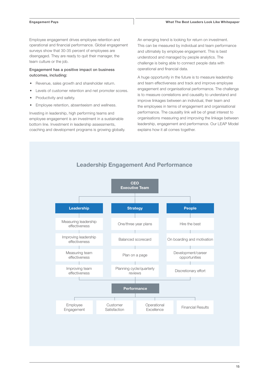Employee engagement drives employee retention and operational and financial performance. Global engagement surveys show that 30-35 percent of employees are disengaged. They are ready to quit their manager, the team culture or the job.

#### Engagement has a positive impact on business outcomes, including:

- Revenue, sales growth and shareholder return.
- Levels of customer retention and net promoter scores.
- Productivity and safety.
- Employee retention, absenteeism and wellness.

Investing in leadership, high performing teams and employee engagement is an investment in a sustainable bottom line. Investment in leadership assessments, coaching and development programs is growing globally. An emerging trend is looking for return on investment. This can be measured by individual and team performance and ultimately by employee engagement. This is best understood and managed by people analytics. The challenge is being able to connect people data with operational and financial data.

A huge opportunity in the future is to measure leadership and team effectiveness and track and improve employee engagement and organisational performance. The challenge is to measure correlations and causality to understand and improve linkages between an individual, their team and the employees in terms of engagement and organisational performance. The causality link will be of great interest to organisations measuring and improving the linkage between leadership, engagement and performance. Our LEAP Model explains how it all comes together.

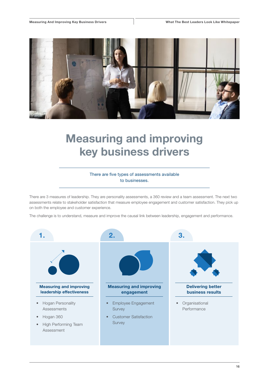

# Measuring and improving key business drivers

#### There are five types of assessments available to businesses.

There are 3 measures of leadership. They are personality assessments, a 360 review and a team assessment. The next two assessments relate to stakeholder satisfaction that measure employee engagement and customer satisfaction. They pick up on both the employee and customer experience.

The challenge is to understand, measure and improve the causal link between leadership, engagement and performance.

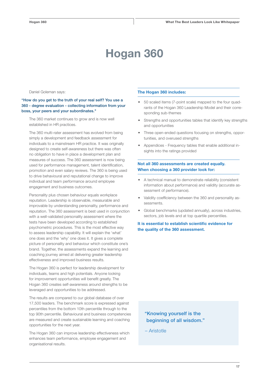# Hogan 360

Daniel Goleman says:

#### "How do you get to the truth of your real self? You use a 360 - degree evaluation - collecting information from your boss, your peers and your subordinates."

The 360 market continues to grow and is now well established in HR practices.

The 360 multi-rater assessment has evolved from being simply a development and feedback assessment for individuals to a mainstream HR practice. It was originally designed to create self-awareness but there was often no obligation to have in place a development plan and measures of success. The 360 assessment is now being used for performance management, talent identification, promotion and even salary reviews. The 360 is being used to drive behavioural and reputational change to improve individual and team performance around employee engagement and business outcomes.

Personality plus chosen behaviour equals workplace reputation. Leadership is observable, measurable and improvable by understanding personality, performance and reputation. The 360 assessment is best used in conjunction with a well-validated personality assessment where the tests have been developed according to established psychometric procedures. This is the most effective way to assess leadership capability. It will explain the 'what' one does and the 'why' one does it. It gives a complete picture of personality and behaviour which constitute one's brand. Together, the assessments expand the learning and coaching journey aimed at delivering greater leadership effectiveness and improved business results.

The Hogan 360 is perfect for leadership development for individuals, teams and high potentials. Anyone looking for improvement opportunities will benefit greatly. The Hogan 360 creates self-awareness around strengths to be leveraged and opportunities to be addressed.

The results are compared to our global database of over 17,500 leaders. The benchmark score is expressed against percentiles from the bottom 10th percentile through to the top 90th percentile. Behavioural and business competencies are measured and create sustainable learning and coaching opportunities for the next year.

The Hogan 360 can improve leadership effectiveness which enhances team performance, employee engagement and organisational results.

#### The Hogan 360 includes:

- 50 scaled items (7-point scale) mapped to the four quadrants of the Hogan 360 Leadership Model and their corresponding sub-themes
- Strengths and opportunities tables that identify key strengths and opportunities
- Three open-ended questions focusing on strengths, opportunities, and overused strengths
- Appendices Frequency tables that enable additional insights into the ratings provided

#### Not all 360 assessments are created equally. When choosing a 360 provider look for:

- A technical manual to demonstrate reliability (consistent information about performance) and validity (accurate assessment of performance).
- Validity coefficiency between the 360 and personality assessments.
- Global benchmarks (updated annually), across industries, sectors, job levels and at top quartile percentiles.

It is essential to establish scientific evidence for the quality of the 360 assessment.

#### "Knowing yourself is the beginning of all wisdom."

– Aristotle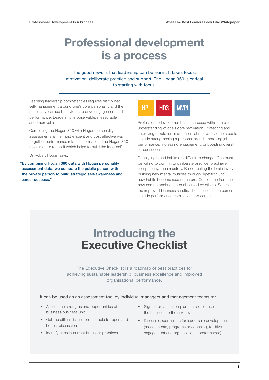# Professional development is a process

The good news is that leadership can be learnt. It takes focus, motivation, deliberate practice and support. The Hogan 360 is critical to starting with focus.

Learning leadership competencies requires disciplined self-management around one's core personality and the necessary learned behaviours to drive engagement and performance. Leadership is observable, measurable and improvable.

Combining the Hogan 360 with Hogan personality assessments is the most efficient and cost effective way to gather performance related information. The Hogan 360 reveals one's real self which helps to build the ideal self.

Dr Robert Hogan says:

"By combining Hogan 360 data with Hogan personality assessment data, we compare the public person with the private person to build strategic self-awareness and career success."



Professional development can't succeed without a clear understanding of one's core motivation. Protecting and improving reputation is an essential motivator; others could include strengthening a personal brand, improving job performance, increasing engagement, or boosting overall career success.

Deeply ingrained habits are difficult to change. One must be willing to commit to deliberate practice to achieve competency, then mastery. Re-educating the brain involves building new mental muscles through repetition until new habits become second nature. Confidence from the new competencies is then observed by others. So are the improved business results. The successful outcomes include performance, reputation and career.

# Introducing the Executive Checklist

The Executive Checklist is a roadmap of best practices for achieving sustainable leadership, business excellence and improved organisational performance.

It can be used as an assessment tool by individual managers and management teams to:

- Assess the strengths and opportunities of the business/business unit
- Get the difficult issues on the table for open and honest discussion
- Identify gaps in current business practices
- Sign off on an action plan that could take the business to the next level
- Discuss opportunities for leadership development (assessments, programs or coaching, to drive engagement and organisational performance)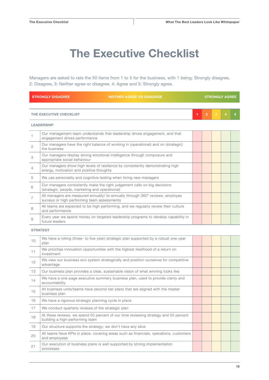# The Executive Checklist

Managers are asked to rate the 50 items from 1 to 5 for the business, with 1 being: Strongly disagree, 2: Disagree, 3: Neither agree or disagree, 4: Agree and 5: Strongly agree.

|              | <b>STRONGLY DISAGREE</b><br><b>NEITHER AGREE OR DISAGREE</b>                                                                  |   |                |   | <b>STRONGLY AGREE</b> |   |
|--------------|-------------------------------------------------------------------------------------------------------------------------------|---|----------------|---|-----------------------|---|
|              |                                                                                                                               |   |                |   |                       |   |
|              | THE EXECUTIVE CHECKLIST                                                                                                       | 1 | $\overline{2}$ | 3 | 4                     | 5 |
|              | <b>LEADERSHIP</b>                                                                                                             |   |                |   |                       |   |
| $\mathbf{1}$ | Our management team understands that leadership drives engagement, and that<br>engagement drives performance                  |   |                |   |                       |   |
| 2            | Our managers have the right balance of working in (operational) and on (strategic)<br>the business                            |   |                |   |                       |   |
| 3            | Our managers display strong emotional intelligence through composure and<br>appropriate social behaviour                      |   |                |   |                       |   |
| 4            | Our managers show high levels of resilience by consistently demonstrating high<br>energy, motivation and positive thoughts    |   |                |   |                       |   |
| 5            | We use personality and cognitive testing when hiring new managers                                                             |   |                |   |                       |   |
| 6            | Our managers consistently make the right judgement calls on big decisions<br>(strategic, people, marketing and operational)   |   |                |   |                       |   |
| 7            | All managers are measured annually/ bi-annually through 360° reviews, employee<br>surveys or high performing team assessments |   |                |   |                       |   |
| 8            | All teams are expected to be high performing, and we regularly review their culture<br>and performance                        |   |                |   |                       |   |
| 9            | Every year we spend money on targeted leadership programs to develop capability in<br>future leaders                          |   |                |   |                       |   |
|              | <b>STRATEGY</b>                                                                                                               |   |                |   |                       |   |
| 10           | We have a rolling (three- to five-year) strategic plan supported by a robust one-year<br>plan                                 |   |                |   |                       |   |
| 11           | We prioritise innovation opportunities with the highest likelihood of a return on<br>investment                               |   |                |   |                       |   |
| 12           | We view our business eco system strategically and position ourselves for competitive<br>advantage                             |   |                |   |                       |   |
| 13           | Our business plan provides a clear, sustainable vision of what winning looks like                                             |   |                |   |                       |   |
| 14           | We have a one-page executive summary business plan, used to provide clarity and<br>accountability                             |   |                |   |                       |   |
| 15           | All business units/teams have second-tier plans that are aligned with the master<br>business plan                             |   |                |   |                       |   |
| 16           | We have a rigorous strategic planning cycle in place                                                                          |   |                |   |                       |   |
| 17           | We conduct quarterly reviews of the strategic plan                                                                            |   |                |   |                       |   |
| 18           | At these reviews, we spend 50 percent of our time reviewing strategy and 50 percent<br>building a high-performing team        |   |                |   |                       |   |
| 19           | Our structure supports the strategy; we don't have any silos                                                                  |   |                |   |                       |   |
| 20           | All teams have KPIs in place, covering areas such as financials, operations, customers<br>and employees                       |   |                |   |                       |   |
| 21           | Our execution of business plans is well supported by strong implementation<br>processes                                       |   |                |   |                       |   |
|              |                                                                                                                               |   |                |   |                       |   |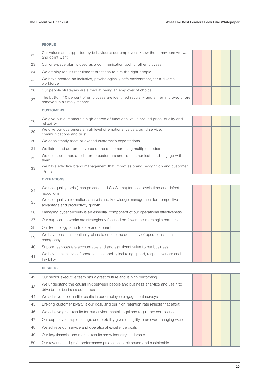|    | <b>PEOPLE</b>                                                                                                        |  |  |  |
|----|----------------------------------------------------------------------------------------------------------------------|--|--|--|
| 22 | Our values are supported by behaviours; our employees know the behaviours we want<br>and don't want                  |  |  |  |
| 23 | Our one-page plan is used as a communication tool for all employees                                                  |  |  |  |
| 24 | We employ robust recruitment practices to hire the right people                                                      |  |  |  |
| 25 | We have created an inclusive, psychologically safe environment, for a diverse<br>workforce                           |  |  |  |
| 26 | Our people strategies are aimed at being an employer of choice                                                       |  |  |  |
| 27 | The bottom 10 percent of employees are identified regularly and either improve, or are<br>removed in a timely manner |  |  |  |
|    | <b>CUSTOMERS</b>                                                                                                     |  |  |  |
| 28 | We give our customers a high degree of functional value around price, quality and<br>المستقلة والمستلم والمستند      |  |  |  |

| $\sim$ $\circ$ | reliability                                                                                       |  |  |  |
|----------------|---------------------------------------------------------------------------------------------------|--|--|--|
| 29             | We give our customers a high level of emotional value around service,<br>communications and trust |  |  |  |
| 30             | We consistently meet or exceed customer's expectations                                            |  |  |  |
| -31            | We listen and act on the voice of the customer using multiple modes                               |  |  |  |
| 32             | We use social media to listen to customers and to communicate and engage with<br>them             |  |  |  |
| 33             | We have effective brand management that improves brand recognition and customer<br>loyalty        |  |  |  |

#### OPERATIONS

| 34 | We use quality tools (Lean process and Six Sigma) for cost, cycle time and defect<br>reductions                    |  |  |  |
|----|--------------------------------------------------------------------------------------------------------------------|--|--|--|
| 35 | We use quality information, analysis and knowledge management for competitive<br>advantage and productivity growth |  |  |  |
| 36 | Managing cyber security is an essential component of our operational effectiveness                                 |  |  |  |
| 37 | Our supplier networks are strategically focused on fewer and more agile partners                                   |  |  |  |
| 38 | Our technology is up to date and efficient                                                                         |  |  |  |
| 39 | We have business continuity plans to ensure the continuity of operations in an<br>emergency                        |  |  |  |
| 40 | Support services are accountable and add significant value to our business                                         |  |  |  |
| 41 | We have a high level of operational capability including speed, responsiveness and<br>flexibility                  |  |  |  |

#### RESULTS

| 42 | Our senior executive team has a great culture and is high performing                                                |  |  |  |
|----|---------------------------------------------------------------------------------------------------------------------|--|--|--|
| 43 | We understand the causal link between people and business analytics and use it to<br>drive better business outcomes |  |  |  |
| 44 | We achieve top-quartile results in our employee engagement surveys                                                  |  |  |  |
| 45 | Lifelong customer loyalty is our goal, and our high retention rate reflects that effort                             |  |  |  |
| 46 | We achieve great results for our environmental, legal and regulatory compliance                                     |  |  |  |
| 47 | Our capacity for rapid change and flexibility gives us agility in an ever-changing world                            |  |  |  |
| 48 | We achieve our service and operational excellence goals                                                             |  |  |  |
| 49 | Our key financial and market results show industry leadership                                                       |  |  |  |
| 50 | Our revenue and profit performance projections look sound and sustainable                                           |  |  |  |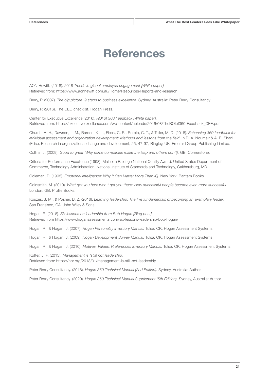## References

AON Hewitt. (2018). 2018 *Trends in global employee engagement [White paper].* Retrieved from: https://www.aonhewitt.com.au/Home/Resources/Reports-and-research

Berry, P. (2007). *The big picture: 9 steps to business excellence.* Sydney, Australia: Peter Berry Consultancy.

Berry, P. (2016). The CEO checklist. Hogan Press.

Center for Executive Excellence (2016). *ROI of 360 Feedback [White paper].* Retrieved from: https://executiveexcellence.com/wp-content/uploads/2016/08/TheROIof360-Feedback\_CEE.pdf

Church, A. H., Dawson, L. M., Barden, K. L., Fleck, C. R., Rotolo, C. T., & Tuller, M. D. (2018). *Enhancing 360 feedback for individual assessment and organization development: Methods and lessons from the field.* In D. A. Noumair & A. B. Shani (Eds.), Research in organizational change and development, 26, 47-97, Bingley, UK, Emerald Group Publishing Limited.

Collins, J. (2009). *Good to great (Why some companies make the leap and others don't).* GB: Cornerstone.

Criteria for Performance Excellence (1998). Malcolm Baldrige National Quality Award. United States Department of Commerce, Technology Administration, National Institute of Standards and Technology, Gaithersburg, MD.

Goleman, D. (1995). *Emotional Intelligence: Why It Can Matter More Than IQ.* New York: Bantam Books.

Goldsmith, M. (2010). *What got you here won't get you there: How successful people become even more successful.* London, GB: Profile Books.

Kouzes, J. M., & Posner, B. Z. (2016). *Learning leadership: The five fundamentals of becoming an exemplary leader.* San Fransisco, CA: John Wiley & Sons.

Hogan, R. (2018). *Six lessons on leadership from Bob Hogan [Blog post].* Retrieved from https://www.hoganassessments.com/six-lessons-leadership-bob-hogan/

Hogan, R., & Hogan, J. (2007). *Hogan Personality Inventory Manual.* Tulsa, OK: Hogan Assessment Systems.

Hogan, R., & Hogan, J. (2009). *Hogan Development Survey Manual.* Tulsa, OK: Hogan Assessment Systems.

Hogan, R., & Hogan, J. (2010). *Motives, Values, Preferences Inventory Manual.* Tulsa, OK: Hogan Assessment Systems.

Kotter, J. P. (2013). *Management is (still) not leadership.* Retrieved from: https://hbr.org/2013/01/management-is-still-not-leadership

Peter Berry Consultancy. (2018). *Hogan 360 Technical Manual (2nd Edition).* Sydney, Australia: Author.

Peter Berry Consultancy. (2020). *Hogan 360 Technical Manual Supplement (5th Edition).* Sydney, Australia: Author.